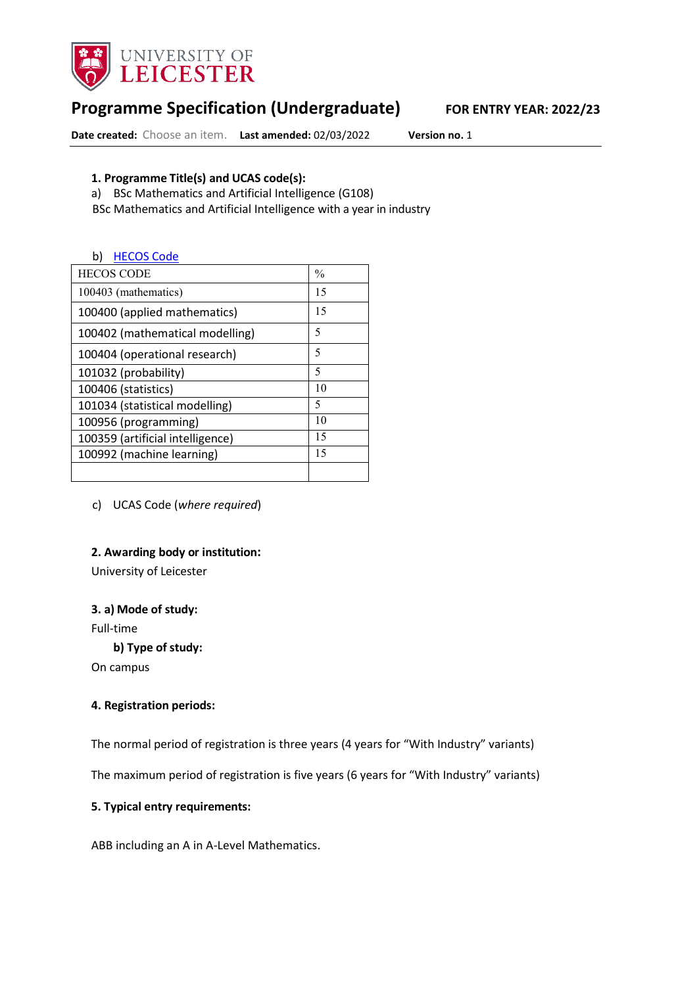

# **Programme Specification (Undergraduate) FOR ENTRY YEAR: 2022/23**

**Date created:** Choose an item. **Last amended:** 02/03/2022 **Version no.** 1

#### **1. Programme Title(s) and UCAS code(s):**

a) BSc Mathematics and Artificial Intelligence (G108)

BSc Mathematics and Artificial Intelligence with a year in industry

#### b) HECOS Code

| <b>HECOS CODE</b>                | $\frac{0}{0}$ |
|----------------------------------|---------------|
| 100403 (mathematics)             | 15            |
| 100400 (applied mathematics)     | 15            |
| 100402 (mathematical modelling)  | 5             |
| 100404 (operational research)    | 5             |
| 101032 (probability)             | 5             |
| 100406 (statistics)              | 10            |
| 101034 (statistical modelling)   | 5             |
| 100956 (programming)             | 10            |
| 100359 (artificial intelligence) | 15            |
| 100992 (machine learning)        | 15            |
|                                  |               |

c) UCAS Code (*where required*)

#### **2. Awarding body or institution:**

University of Leicester

#### **3. a) Mode of study:**

Full-time

**b) Type of study:**

On campus

#### **4. Registration periods:**

The normal period of registration is three years (4 years for "With Industry" variants)

The maximum period of registration is five years (6 years for "With Industry" variants)

#### **5. Typical entry requirements:**

ABB including an A in A-Level Mathematics.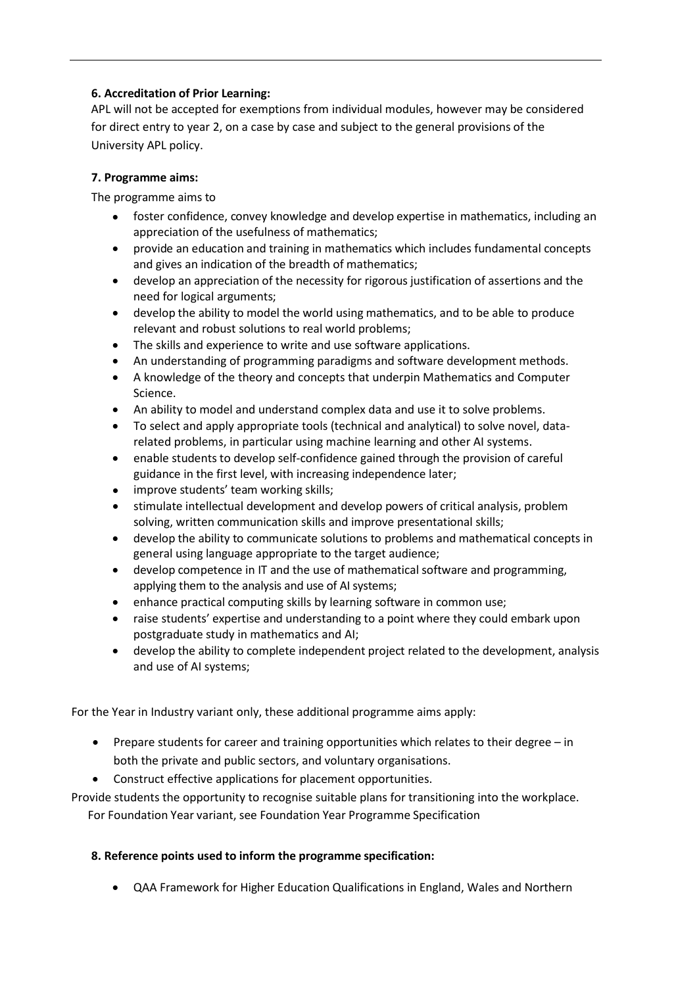#### **6. Accreditation of Prior Learning:**

APL will not be accepted for exemptions from individual modules, however may be considered for direct entry to year 2, on a case by case and subject to the general provisions of the University APL policy.

#### **7. Programme aims:**

The programme aims to

- foster confidence, convey knowledge and develop expertise in mathematics, including an appreciation of the usefulness of mathematics;
- provide an education and training in mathematics which includes fundamental concepts and gives an indication of the breadth of mathematics;
- develop an appreciation of the necessity for rigorous justification of assertions and the need for logical arguments;
- develop the ability to model the world using mathematics, and to be able to produce relevant and robust solutions to real world problems;
- The skills and experience to write and use software applications.
- An understanding of programming paradigms and software development methods.
- A knowledge of the theory and concepts that underpin Mathematics and Computer Science.
- An ability to model and understand complex data and use it to solve problems.
- To select and apply appropriate tools (technical and analytical) to solve novel, datarelated problems, in particular using machine learning and other AI systems.
- enable students to develop self-confidence gained through the provision of careful guidance in the first level, with increasing independence later;
- improve students' team working skills;
- stimulate intellectual development and develop powers of critical analysis, problem solving, written communication skills and improve presentational skills;
- develop the ability to communicate solutions to problems and mathematical concepts in general using language appropriate to the target audience;
- develop competence in IT and the use of mathematical software and programming, applying them to the analysis and use of AI systems;
- enhance practical computing skills by learning software in common use;
- raise students' expertise and understanding to a point where they could embark upon postgraduate study in mathematics and AI;
- develop the ability to complete independent project related to the development, analysis and use of AI systems;

For the Year in Industry variant only, these additional programme aims apply:

- Prepare students for career and training opportunities which relates to their degree in both the private and public sectors, and voluntary organisations.
- Construct effective applications for placement opportunities.

Provide students the opportunity to recognise suitable plans for transitioning into the workplace. For Foundation Year variant, see Foundation Year Programme Specification

### **8. Reference points used to inform the programme specification:**

• QAA Framework for Higher Education Qualifications in England, Wales and Northern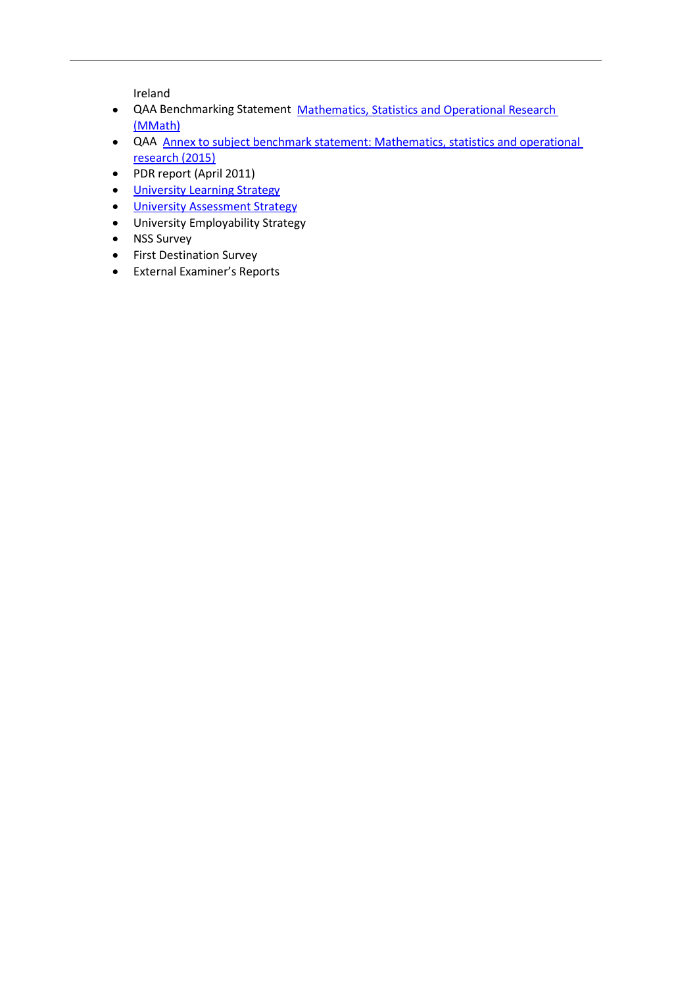Ireland

- QAA Benchmarking Statement Mathematics, [Statistics and Operational Research](http://www.qaa.ac.uk/en/Publications/Documents/Subject-benchmark-statement-Mathematics-statistics-and-operational-research.pdf) [\(MMath\)](http://www.qaa.ac.uk/en/Publications/Documents/Subject-benchmark-statement-Mathematics-statistics-and-operational-research.pdf)
- QAA Annex to subject benchmark statement: Mathematics, statistics and operational research (2015)
- PDR report (April 2011)
- University [Learning Strategy](http://www2.le.ac.uk/offices/sas2/quality/learnteach)
- [University Assessment Strategy](https://www2.le.ac.uk/offices/sas2/quality/learnteach)
- University Employability Strategy
- NSS Survey
- First Destination Survey
- External Examiner's Reports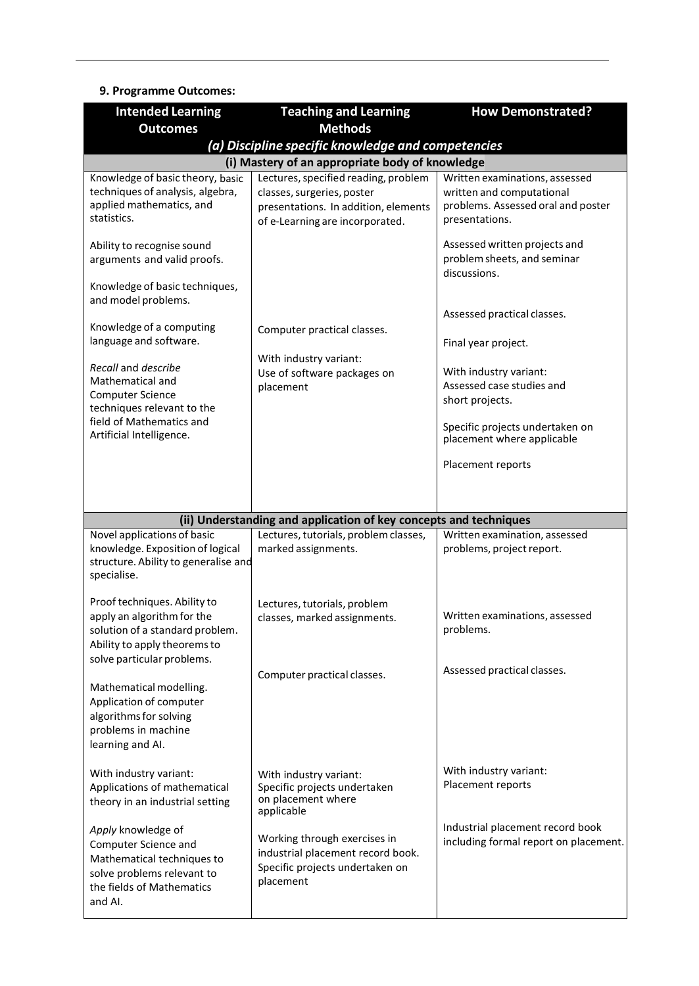#### **9. Programme Outcomes:**

| <b>Intended Learning</b>                                                                                                                              | <b>Teaching and Learning</b>                                                                                      | <b>How Demonstrated?</b>                                                          |
|-------------------------------------------------------------------------------------------------------------------------------------------------------|-------------------------------------------------------------------------------------------------------------------|-----------------------------------------------------------------------------------|
| <b>Outcomes</b>                                                                                                                                       | <b>Methods</b>                                                                                                    |                                                                                   |
|                                                                                                                                                       | (a) Discipline specific knowledge and competencies<br>(i) Mastery of an appropriate body of knowledge             |                                                                                   |
| Knowledge of basic theory, basic                                                                                                                      | Lectures, specified reading, problem                                                                              | Written examinations, assessed                                                    |
| techniques of analysis, algebra,<br>applied mathematics, and<br>statistics.                                                                           | classes, surgeries, poster<br>presentations. In addition, elements<br>of e-Learning are incorporated.             | written and computational<br>problems. Assessed oral and poster<br>presentations. |
| Ability to recognise sound<br>arguments and valid proofs.<br>Knowledge of basic techniques,                                                           |                                                                                                                   | Assessed written projects and<br>problem sheets, and seminar<br>discussions.      |
| and model problems.                                                                                                                                   |                                                                                                                   | Assessed practical classes.                                                       |
| Knowledge of a computing<br>language and software.                                                                                                    | Computer practical classes.                                                                                       | Final year project.                                                               |
| Recall and describe<br>Mathematical and<br><b>Computer Science</b><br>techniques relevant to the                                                      | With industry variant:<br>Use of software packages on<br>placement                                                | With industry variant:<br>Assessed case studies and<br>short projects.            |
| field of Mathematics and<br>Artificial Intelligence.                                                                                                  |                                                                                                                   | Specific projects undertaken on<br>placement where applicable                     |
|                                                                                                                                                       |                                                                                                                   | Placement reports                                                                 |
|                                                                                                                                                       |                                                                                                                   |                                                                                   |
|                                                                                                                                                       | (ii) Understanding and application of key concepts and techniques                                                 |                                                                                   |
| Novel applications of basic<br>knowledge. Exposition of logical<br>structure. Ability to generalise and<br>specialise.                                | Lectures, tutorials, problem classes,<br>marked assignments.                                                      | Written examination, assessed<br>problems, project report.                        |
| Proof techniques. Ability to<br>apply an algorithm for the<br>solution of a standard problem.<br>Ability to apply theorems to                         | Lectures, tutorials, problem<br>classes, marked assignments.                                                      | Written examinations, assessed<br>problems.                                       |
| solve particular problems.<br>Mathematical modelling.<br>Application of computer<br>algorithms for solving<br>problems in machine<br>learning and AI. | Computer practical classes.                                                                                       | Assessed practical classes.                                                       |
| With industry variant:<br>Applications of mathematical<br>theory in an industrial setting                                                             | With industry variant:<br>Specific projects undertaken<br>on placement where<br>applicable                        | With industry variant:<br>Placement reports                                       |
| Apply knowledge of<br>Computer Science and<br>Mathematical techniques to<br>solve problems relevant to<br>the fields of Mathematics<br>and AI.        | Working through exercises in<br>industrial placement record book.<br>Specific projects undertaken on<br>placement | Industrial placement record book<br>including formal report on placement.         |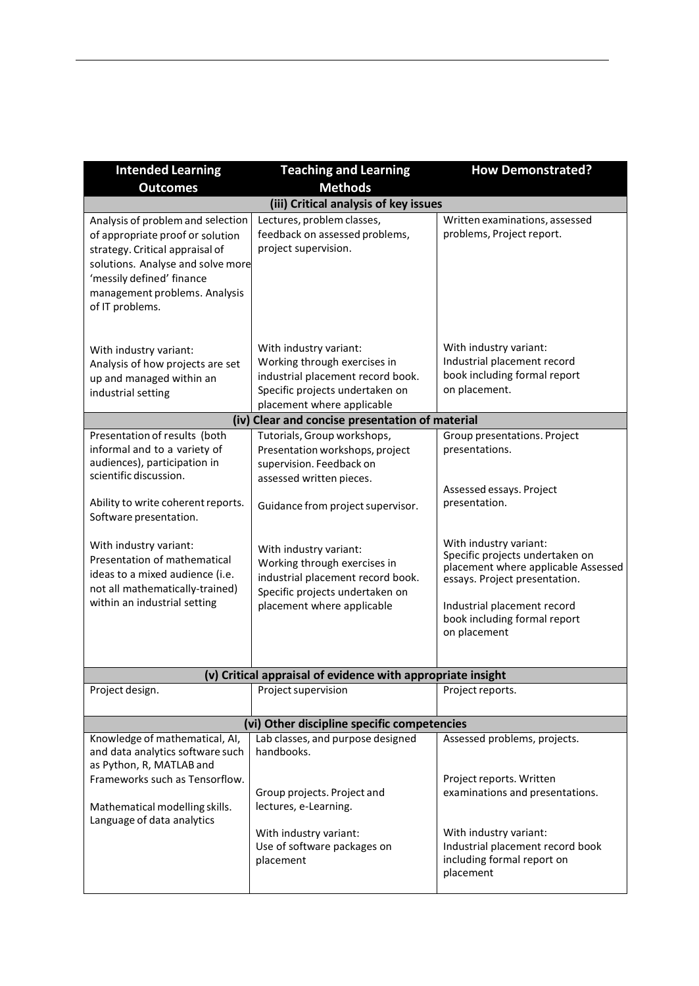| <b>Intended Learning</b>                                                                                                                                                                                                       | <b>Teaching and Learning</b>                                                                                                                                 | <b>How Demonstrated?</b>                                                                                                          |
|--------------------------------------------------------------------------------------------------------------------------------------------------------------------------------------------------------------------------------|--------------------------------------------------------------------------------------------------------------------------------------------------------------|-----------------------------------------------------------------------------------------------------------------------------------|
| <b>Outcomes</b>                                                                                                                                                                                                                | <b>Methods</b>                                                                                                                                               |                                                                                                                                   |
|                                                                                                                                                                                                                                | (iii) Critical analysis of key issues                                                                                                                        |                                                                                                                                   |
| Analysis of problem and selection<br>of appropriate proof or solution<br>strategy. Critical appraisal of<br>solutions. Analyse and solve more<br>'messily defined' finance<br>management problems. Analysis<br>of IT problems. | Lectures, problem classes,<br>feedback on assessed problems,<br>project supervision.                                                                         | Written examinations, assessed<br>problems, Project report.                                                                       |
| With industry variant:<br>Analysis of how projects are set<br>up and managed within an<br>industrial setting                                                                                                                   | With industry variant:<br>Working through exercises in<br>industrial placement record book.<br>Specific projects undertaken on<br>placement where applicable | With industry variant:<br>Industrial placement record<br>book including formal report<br>on placement.                            |
|                                                                                                                                                                                                                                | (iv) Clear and concise presentation of material                                                                                                              |                                                                                                                                   |
| Presentation of results (both<br>informal and to a variety of<br>audiences), participation in<br>scientific discussion.                                                                                                        | Tutorials, Group workshops,<br>Presentation workshops, project<br>supervision. Feedback on                                                                   | Group presentations. Project<br>presentations.                                                                                    |
| Ability to write coherent reports.                                                                                                                                                                                             | assessed written pieces.                                                                                                                                     | Assessed essays. Project<br>presentation.                                                                                         |
| Software presentation.                                                                                                                                                                                                         | Guidance from project supervisor.                                                                                                                            |                                                                                                                                   |
| With industry variant:<br>Presentation of mathematical<br>ideas to a mixed audience (i.e.<br>not all mathematically-trained)                                                                                                   | With industry variant:<br>Working through exercises in<br>industrial placement record book.<br>Specific projects undertaken on                               | With industry variant:<br>Specific projects undertaken on<br>placement where applicable Assessed<br>essays. Project presentation. |
| within an industrial setting                                                                                                                                                                                                   | placement where applicable                                                                                                                                   | Industrial placement record<br>book including formal report<br>on placement                                                       |
|                                                                                                                                                                                                                                | (v) Critical appraisal of evidence with appropriate insight                                                                                                  |                                                                                                                                   |
| Project design.                                                                                                                                                                                                                | Project supervision                                                                                                                                          | Project reports.                                                                                                                  |
|                                                                                                                                                                                                                                | (vi) Other discipline specific competencies                                                                                                                  |                                                                                                                                   |
| Knowledge of mathematical, AI,<br>and data analytics software such<br>as Python, R, MATLAB and                                                                                                                                 | Lab classes, and purpose designed<br>handbooks.                                                                                                              | Assessed problems, projects.                                                                                                      |
| Frameworks such as Tensorflow.<br>Mathematical modelling skills.<br>Language of data analytics                                                                                                                                 | Group projects. Project and<br>lectures, e-Learning.                                                                                                         | Project reports. Written<br>examinations and presentations.                                                                       |
|                                                                                                                                                                                                                                | With industry variant:<br>Use of software packages on<br>placement                                                                                           | With industry variant:<br>Industrial placement record book<br>including formal report on<br>placement                             |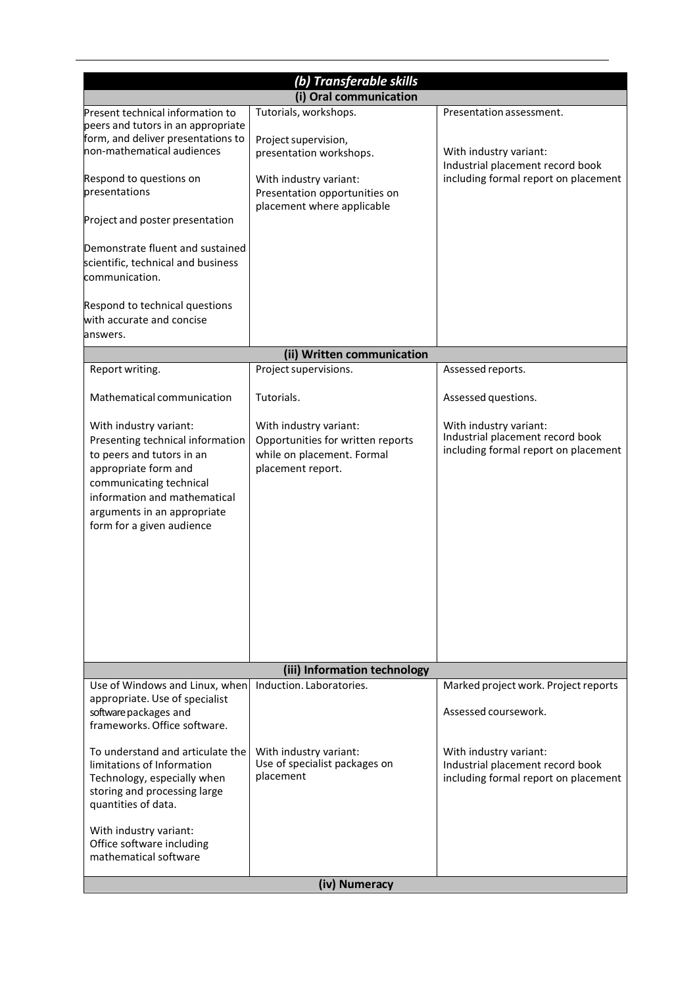|                                                                                                                                                                                                                                                                                                                                                                                      | (b) Transferable skills                                                                                                                                           |                                                                                                                                |
|--------------------------------------------------------------------------------------------------------------------------------------------------------------------------------------------------------------------------------------------------------------------------------------------------------------------------------------------------------------------------------------|-------------------------------------------------------------------------------------------------------------------------------------------------------------------|--------------------------------------------------------------------------------------------------------------------------------|
|                                                                                                                                                                                                                                                                                                                                                                                      | (i) Oral communication                                                                                                                                            |                                                                                                                                |
| Present technical information to<br>peers and tutors in an appropriate<br>form, and deliver presentations to<br>non-mathematical audiences<br>Respond to questions on<br>presentations<br>Project and poster presentation<br>Demonstrate fluent and sustained<br>scientific, technical and business<br>communication.<br>Respond to technical questions<br>with accurate and concise | Tutorials, workshops.<br>Project supervision,<br>presentation workshops.<br>With industry variant:<br>Presentation opportunities on<br>placement where applicable | Presentation assessment.<br>With industry variant:<br>Industrial placement record book<br>including formal report on placement |
| answers.                                                                                                                                                                                                                                                                                                                                                                             |                                                                                                                                                                   |                                                                                                                                |
|                                                                                                                                                                                                                                                                                                                                                                                      | (ii) Written communication                                                                                                                                        |                                                                                                                                |
| Report writing.                                                                                                                                                                                                                                                                                                                                                                      | Project supervisions.                                                                                                                                             | Assessed reports.                                                                                                              |
| Mathematical communication                                                                                                                                                                                                                                                                                                                                                           | Tutorials.                                                                                                                                                        | Assessed questions.                                                                                                            |
| With industry variant:<br>Presenting technical information<br>to peers and tutors in an<br>appropriate form and<br>communicating technical<br>information and mathematical<br>arguments in an appropriate<br>form for a given audience                                                                                                                                               | With industry variant:<br>Opportunities for written reports<br>while on placement. Formal<br>placement report.                                                    | With industry variant:<br>Industrial placement record book<br>including formal report on placement                             |
|                                                                                                                                                                                                                                                                                                                                                                                      | (iii) Information technology                                                                                                                                      |                                                                                                                                |
| Use of Windows and Linux, when<br>appropriate. Use of specialist<br>software packages and<br>frameworks. Office software.                                                                                                                                                                                                                                                            | Induction. Laboratories.                                                                                                                                          | Marked project work. Project reports<br>Assessed coursework.                                                                   |
| To understand and articulate the<br>limitations of Information<br>Technology, especially when<br>storing and processing large<br>quantities of data.<br>With industry variant:<br>Office software including                                                                                                                                                                          | With industry variant:<br>Use of specialist packages on<br>placement                                                                                              | With industry variant:<br>Industrial placement record book<br>including formal report on placement                             |
| mathematical software                                                                                                                                                                                                                                                                                                                                                                | (iv) Numeracy                                                                                                                                                     |                                                                                                                                |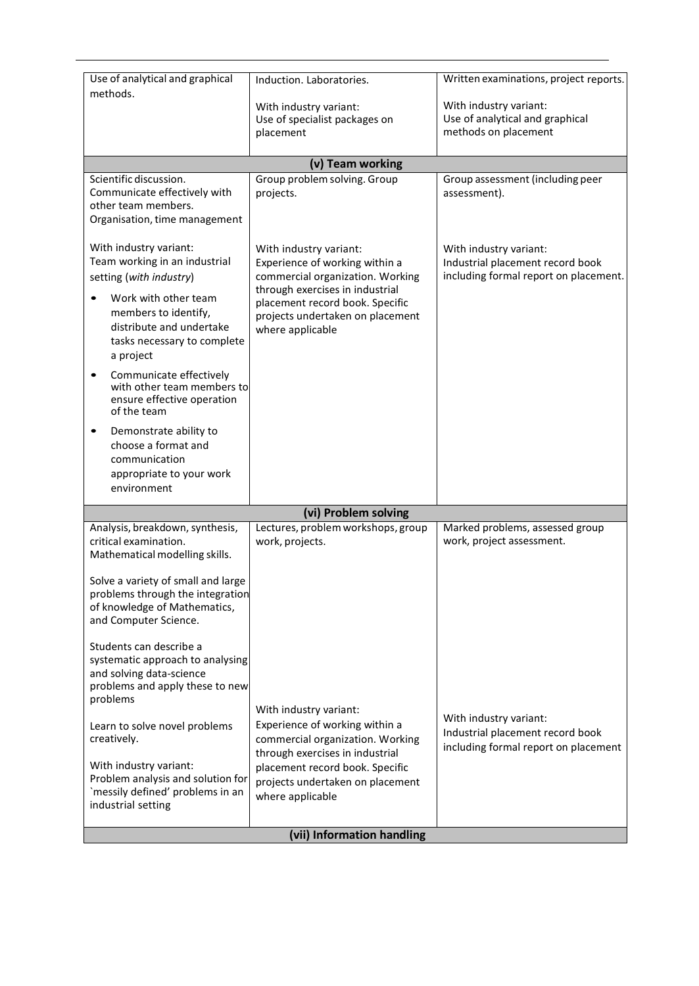| Use of analytical and graphical                                                                                                                                                                                                                                                                                                                                                                                                            | Induction. Laboratories.                                                                                                                                                                                                   | Written examinations, project reports.                                                              |
|--------------------------------------------------------------------------------------------------------------------------------------------------------------------------------------------------------------------------------------------------------------------------------------------------------------------------------------------------------------------------------------------------------------------------------------------|----------------------------------------------------------------------------------------------------------------------------------------------------------------------------------------------------------------------------|-----------------------------------------------------------------------------------------------------|
| methods.                                                                                                                                                                                                                                                                                                                                                                                                                                   | With industry variant:<br>Use of specialist packages on<br>placement                                                                                                                                                       | With industry variant:<br>Use of analytical and graphical<br>methods on placement                   |
|                                                                                                                                                                                                                                                                                                                                                                                                                                            | (v) Team working                                                                                                                                                                                                           |                                                                                                     |
| Scientific discussion.<br>Communicate effectively with<br>other team members.<br>Organisation, time management                                                                                                                                                                                                                                                                                                                             | Group problem solving. Group<br>projects.                                                                                                                                                                                  | Group assessment (including peer<br>assessment).                                                    |
| With industry variant:<br>Team working in an industrial<br>setting (with industry)<br>Work with other team<br>members to identify,<br>distribute and undertake<br>tasks necessary to complete<br>a project<br>Communicate effectively<br>with other team members to<br>ensure effective operation<br>of the team<br>Demonstrate ability to<br>$\bullet$<br>choose a format and<br>communication<br>appropriate to your work<br>environment | With industry variant:<br>Experience of working within a<br>commercial organization. Working<br>through exercises in industrial<br>placement record book. Specific<br>projects undertaken on placement<br>where applicable | With industry variant:<br>Industrial placement record book<br>including formal report on placement. |
|                                                                                                                                                                                                                                                                                                                                                                                                                                            | (vi) Problem solving                                                                                                                                                                                                       |                                                                                                     |
| Analysis, breakdown, synthesis,<br>critical examination.<br>Mathematical modelling skills.<br>Solve a variety of small and large<br>problems through the integration<br>of knowledge of Mathematics,<br>and Computer Science.<br>Students can describe a<br>systematic approach to analysing<br>and solving data-science<br>problems and apply these to new                                                                                | Lectures, problem workshops, group<br>work, projects.                                                                                                                                                                      | Marked problems, assessed group<br>work, project assessment.                                        |
| problems<br>Learn to solve novel problems<br>creatively.<br>With industry variant:<br>Problem analysis and solution for<br>`messily defined' problems in an<br>industrial setting                                                                                                                                                                                                                                                          | With industry variant:<br>Experience of working within a<br>commercial organization. Working<br>through exercises in industrial<br>placement record book. Specific<br>projects undertaken on placement<br>where applicable | With industry variant:<br>Industrial placement record book<br>including formal report on placement  |
|                                                                                                                                                                                                                                                                                                                                                                                                                                            | (vii) Information handling                                                                                                                                                                                                 |                                                                                                     |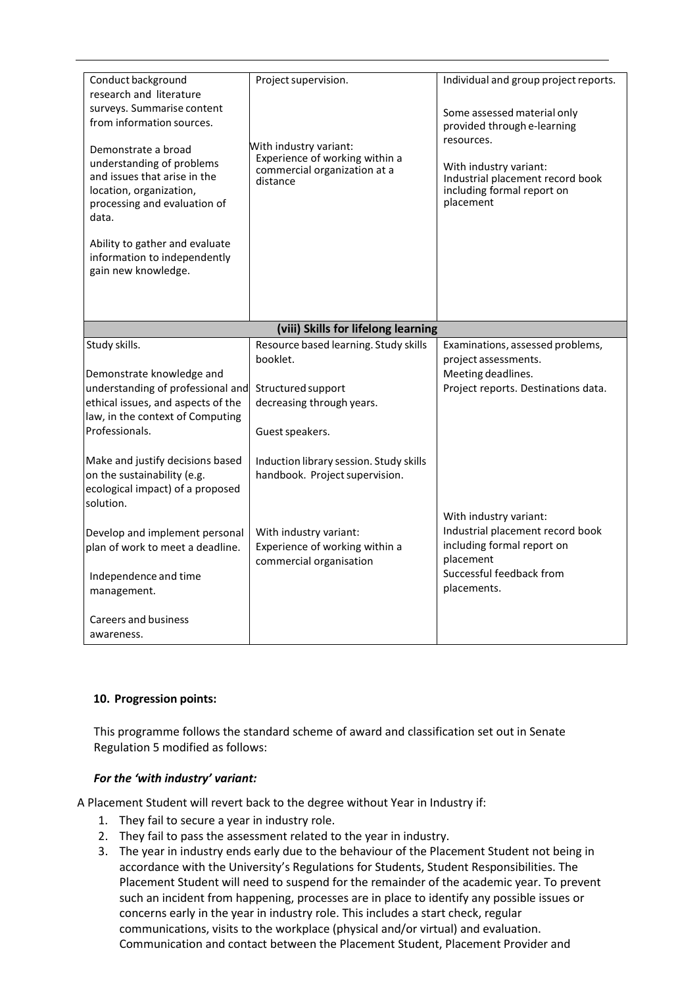| Conduct background<br>research and literature<br>surveys. Summarise content<br>from information sources.<br>Demonstrate a broad<br>understanding of problems<br>and issues that arise in the<br>location, organization,<br>processing and evaluation of<br>data.<br>Ability to gather and evaluate<br>information to independently<br>gain new knowledge. | Project supervision.<br>With industry variant:<br>Experience of working within a<br>commercial organization at a<br>distance | Individual and group project reports.<br>Some assessed material only<br>provided through e-learning<br>resources.<br>With industry variant:<br>Industrial placement record book<br>including formal report on<br>placement |
|-----------------------------------------------------------------------------------------------------------------------------------------------------------------------------------------------------------------------------------------------------------------------------------------------------------------------------------------------------------|------------------------------------------------------------------------------------------------------------------------------|----------------------------------------------------------------------------------------------------------------------------------------------------------------------------------------------------------------------------|
|                                                                                                                                                                                                                                                                                                                                                           | (viii) Skills for lifelong learning                                                                                          |                                                                                                                                                                                                                            |
| Study skills.<br>Demonstrate knowledge and<br>understanding of professional and<br>ethical issues, and aspects of the<br>law, in the context of Computing<br>Professionals.                                                                                                                                                                               | Resource based learning. Study skills<br>booklet.<br>Structured support<br>decreasing through years.<br>Guest speakers.      | Examinations, assessed problems,<br>project assessments.<br>Meeting deadlines.<br>Project reports. Destinations data.                                                                                                      |
| Make and justify decisions based<br>on the sustainability (e.g.<br>ecological impact) of a proposed<br>solution.                                                                                                                                                                                                                                          | Induction library session. Study skills<br>handbook. Project supervision.                                                    | With industry variant:                                                                                                                                                                                                     |
| Develop and implement personal<br>plan of work to meet a deadline.<br>Independence and time<br>management.<br><b>Careers and business</b>                                                                                                                                                                                                                 | With industry variant:<br>Experience of working within a<br>commercial organisation                                          | Industrial placement record book<br>including formal report on<br>placement<br>Successful feedback from<br>placements.                                                                                                     |
| awareness.                                                                                                                                                                                                                                                                                                                                                |                                                                                                                              |                                                                                                                                                                                                                            |

#### **10. Progression points:**

This programme follows the standard scheme of award and classification set out in Senate Regulation 5 modified as follows:

#### *For the 'with industry' variant:*

A Placement Student will revert back to the degree without Year in Industry if:

- 1. They fail to secure a year in industry role.
- 2. They fail to pass the assessment related to the year in industry.
- 3. The year in industry ends early due to the behaviour of the Placement Student not being in accordance with the University's Regulations for Students, Student Responsibilities. The Placement Student will need to suspend for the remainder of the academic year. To prevent such an incident from happening, processes are in place to identify any possible issues or concerns early in the year in industry role. This includes a start check, regular communications, visits to the workplace (physical and/or virtual) and evaluation. Communication and contact between the Placement Student, Placement Provider and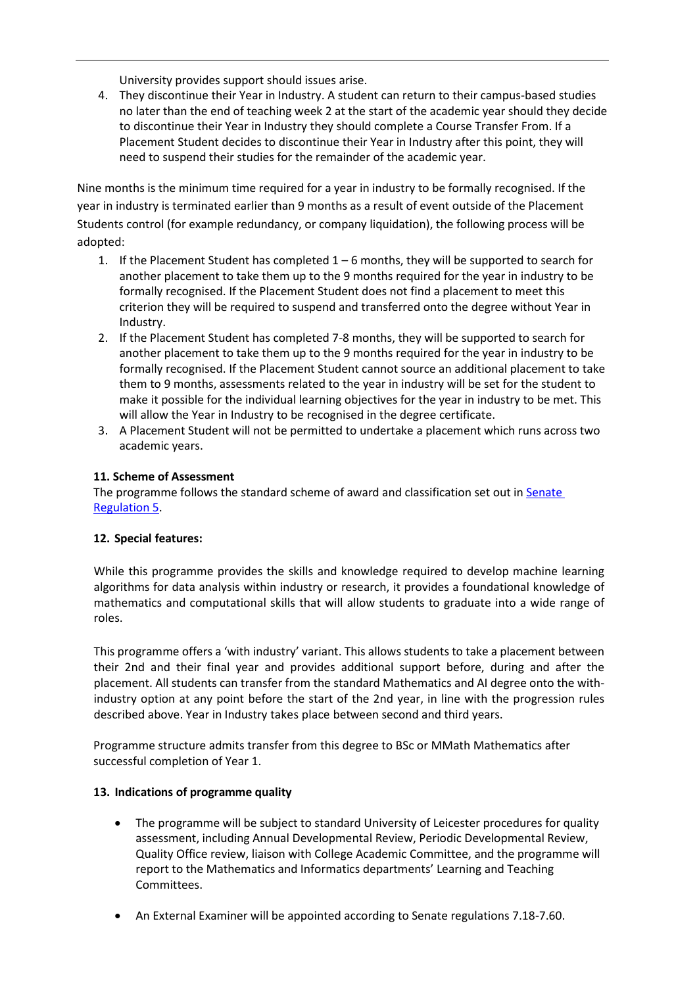University provides support should issues arise.

4. They discontinue their Year in Industry. A student can return to their campus-based studies no later than the end of teaching week 2 at the start of the academic year should they decide to discontinue their Year in Industry they should complete a Course Transfer From. If a Placement Student decides to discontinue their Year in Industry after this point, they will need to suspend their studies for the remainder of the academic year.

Nine months is the minimum time required for a year in industry to be formally recognised. If the year in industry is terminated earlier than 9 months as a result of event outside of the Placement Students control (for example redundancy, or company liquidation), the following process will be adopted:

- 1. If the Placement Student has completed 1 6 months, they will be supported to search for another placement to take them up to the 9 months required for the year in industry to be formally recognised. If the Placement Student does not find a placement to meet this criterion they will be required to suspend and transferred onto the degree without Year in Industry.
- 2. If the Placement Student has completed 7-8 months, they will be supported to search for another placement to take them up to the 9 months required for the year in industry to be formally recognised. If the Placement Student cannot source an additional placement to take them to 9 months, assessments related to the year in industry will be set for the student to make it possible for the individual learning objectives for the year in industry to be met. This will allow the Year in Industry to be recognised in the degree certificate.
- 3. A Placement Student will not be permitted to undertake a placement which runs across two academic years.

#### **11. Scheme of Assessment**

The programme follows the standard scheme of award and classification set out in Senate [Regulation](http://www2.le.ac.uk/offices/sas2/regulations/general-regulations-for-taught-programmes) 5.

#### **12. Special features:**

While this programme provides the skills and knowledge required to develop machine learning algorithms for data analysis within industry or research, it provides a foundational knowledge of mathematics and computational skills that will allow students to graduate into a wide range of roles.

This programme offers a 'with industry' variant. This allows students to take a placement between their 2nd and their final year and provides additional support before, during and after the placement. All students can transfer from the standard Mathematics and AI degree onto the withindustry option at any point before the start of the 2nd year, in line with the progression rules described above. Year in Industry takes place between second and third years.

Programme structure admits transfer from this degree to BSc or MMath Mathematics after successful completion of Year 1.

#### **13. Indications of programme quality**

- The programme will be subject to standard University of Leicester procedures for quality assessment, including Annual Developmental Review, Periodic Developmental Review, Quality Office review, liaison with College Academic Committee, and the programme will report to the Mathematics and Informatics departments' Learning and Teaching Committees.
- An External Examiner will be appointed according to Senate regulations 7.18-7.60.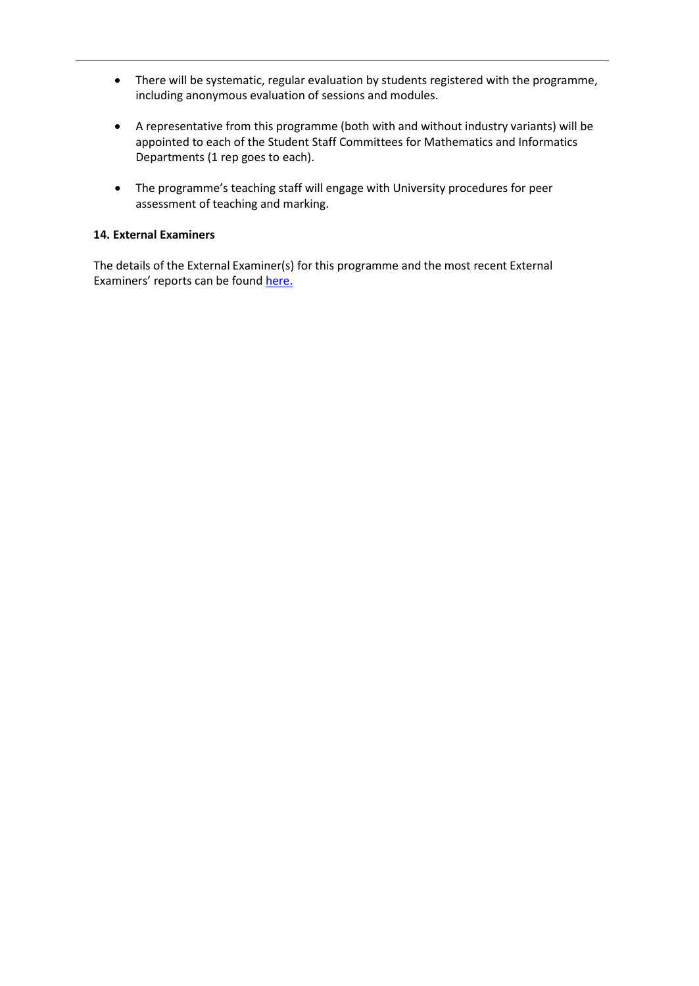- There will be systematic, regular evaluation by students registered with the programme, including anonymous evaluation of sessions and modules.
- A representative from this programme (both with and without industry variants) will be appointed to each of the Student Staff Committees for Mathematics and Informatics Departments (1 rep goes to each).
- The programme's teaching staff will engage with University procedures for peer assessment of teaching and marking.

#### **14. External Examiners**

The details of the External Examiner(s) for this programme and the most recent External Examiners' reports can be found [here.](https://exampapers.le.ac.uk/xmlui/handle/123456789/169)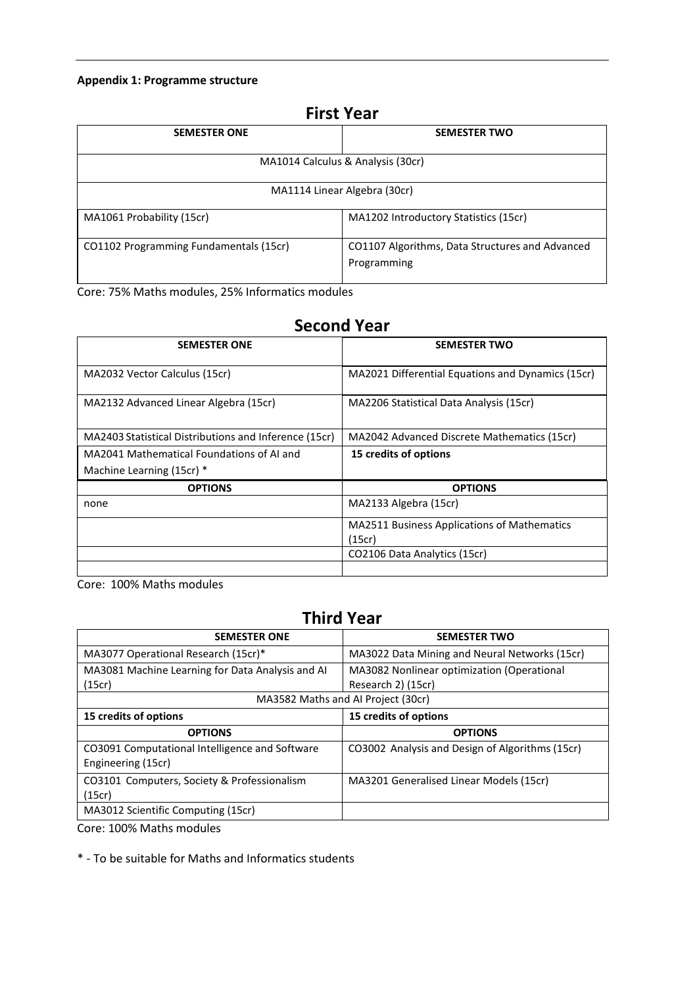#### **Appendix 1: Programme structure**

|                                        | <b>First Year</b>                                              |
|----------------------------------------|----------------------------------------------------------------|
| <b>SEMESTER ONE</b>                    | <b>SEMESTER TWO</b>                                            |
|                                        | MA1014 Calculus & Analysis (30cr)                              |
|                                        | MA1114 Linear Algebra (30cr)                                   |
| MA1061 Probability (15cr)              | MA1202 Introductory Statistics (15cr)                          |
| CO1102 Programming Fundamentals (15cr) | CO1107 Algorithms, Data Structures and Advanced<br>Programming |

Core: 75% Maths modules, 25% Informatics modules

# **Second Year**

| <b>SEMESTER ONE</b>                                   | <b>SEMESTER TWO</b>                               |
|-------------------------------------------------------|---------------------------------------------------|
|                                                       |                                                   |
| MA2032 Vector Calculus (15cr)                         | MA2021 Differential Equations and Dynamics (15cr) |
|                                                       |                                                   |
| MA2132 Advanced Linear Algebra (15cr)                 | MA2206 Statistical Data Analysis (15cr)           |
|                                                       |                                                   |
| MA2403 Statistical Distributions and Inference (15cr) | MA2042 Advanced Discrete Mathematics (15cr)       |
| MA2041 Mathematical Foundations of AI and             | 15 credits of options                             |
| Machine Learning (15cr) *                             |                                                   |
| <b>OPTIONS</b>                                        | <b>OPTIONS</b>                                    |
| none                                                  | MA2133 Algebra (15cr)                             |
|                                                       | MA2511 Business Applications of Mathematics       |
|                                                       | (15cr)                                            |
|                                                       | CO2106 Data Analytics (15cr)                      |
|                                                       |                                                   |

Core: 100% Maths modules

# **Third Year**

| <b>SEMESTER ONE</b>                                                  | <b>SEMESTER TWO</b>                             |
|----------------------------------------------------------------------|-------------------------------------------------|
| MA3077 Operational Research (15cr)*                                  | MA3022 Data Mining and Neural Networks (15cr)   |
| MA3081 Machine Learning for Data Analysis and AI                     | MA3082 Nonlinear optimization (Operational      |
| (15cr)                                                               | Research 2) (15cr)                              |
|                                                                      | MA3582 Maths and AI Project (30cr)              |
| 15 credits of options                                                | 15 credits of options                           |
|                                                                      |                                                 |
| <b>OPTIONS</b>                                                       | <b>OPTIONS</b>                                  |
| CO3091 Computational Intelligence and Software<br>Engineering (15cr) | CO3002 Analysis and Design of Algorithms (15cr) |
| CO3101 Computers, Society & Professionalism<br>(15cr)                | MA3201 Generalised Linear Models (15cr)         |
|                                                                      |                                                 |

Core: 100% Maths modules

\* - To be suitable for Maths and Informatics students